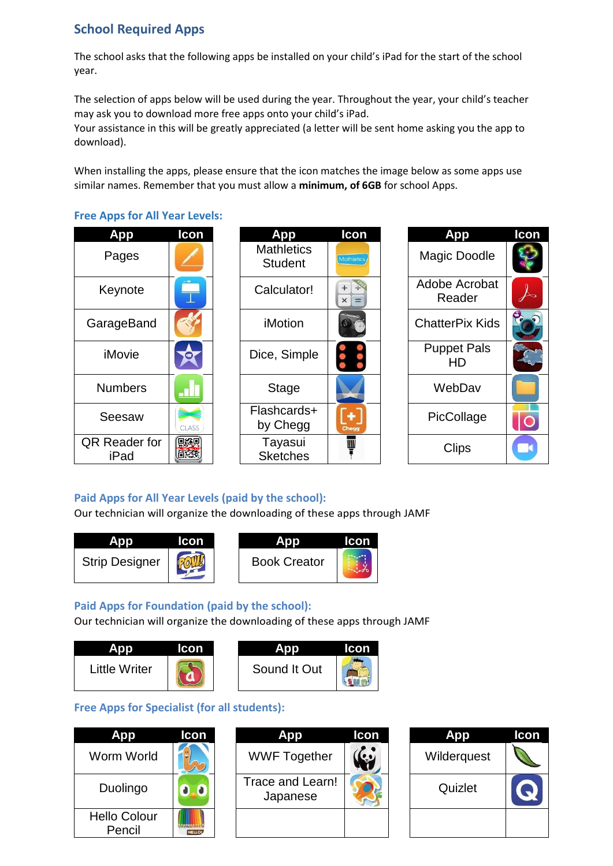# **School Required Apps**

The school asks that the following apps be installed on your child's iPad for the start of the school year.

The selection of apps below will be used during the year. Throughout the year, your child's teacher may ask you to download more free apps onto your child's iPad.

Your assistance in this will be greatly appreciated (a letter will be sent home asking you the app to download).

When installing the apps, please ensure that the icon matches the image below as some apps use similar names. Remember that you must allow a **minimum, of 6GB** for school Apps.

**Free Apps for All Year Levels:**

| App                          | Icon  |                                     |
|------------------------------|-------|-------------------------------------|
| Pages                        |       | <b>Mathletics</b><br><b>Student</b> |
| Keynote                      |       | Calculator!                         |
| GarageBand                   |       | iMotion                             |
| iMovie                       |       | Dice, Simple                        |
| <b>Numbers</b>               |       | <b>Stage</b>                        |
| Seesaw                       | CLASS | Flashcards+<br>by Chegg             |
| <b>QR Reader for</b><br>iPad |       | Tayasui<br><b>Sketches</b>          |

| <b>App</b>           | Icon  | <b>App</b>                          | Icon            | <b>App</b>               | Icon |
|----------------------|-------|-------------------------------------|-----------------|--------------------------|------|
| Pages                |       | <b>Mathletics</b><br><b>Student</b> | Mathletics      | <b>Magic Doodle</b>      |      |
| Keynote              |       | Calculator!                         | $\times$<br>$=$ | Adobe Acrobat<br>Reader  |      |
| arageBand            |       | <i>iMotion</i>                      |                 | <b>ChatterPix Kids</b>   |      |
| iMovie               |       | Dice, Simple                        | $\bullet$       | <b>Puppet Pals</b><br>HD |      |
| <b>Numbers</b>       |       | <b>Stage</b>                        |                 | WebDav                   |      |
| Seesaw               | CLASS | Flashcards+<br>by Chegg             | Chegg           | PicCollage               |      |
| र Reader for<br>iPad | 縣硯    | Tayasui<br><b>Sketches</b>          | Ш               | <b>Clips</b>             |      |

| App                      | lcon |
|--------------------------|------|
| Magic Doodle             |      |
| Adobe Acrobat<br>Reader  |      |
| <b>ChatterPix Kids</b>   |      |
| <b>Puppet Pals</b><br>HD |      |
| WebDav                   |      |
| PicCollage               |      |
| Clips                    |      |

#### **Paid Apps for All Year Levels (paid by the school):**

Our technician will organize the downloading of these apps through JAMF





#### **Paid Apps for Foundation (paid by the school):**

Our technician will organize the downloading of these apps through JAMF





#### **Free Apps for Specialist (for all students):**

| Ann                           | Icon | Δ                            |
|-------------------------------|------|------------------------------|
| Worm World                    |      | <b>WWF Together</b>          |
| Duolingo                      |      | Trace and Learn!<br>Japanese |
| <b>Hello Colour</b><br>Pencil |      |                              |

| <b>App</b>                    | Icon         | <b>App</b>                   | Icon | <b>App</b>  | <b>Icon</b> |
|-------------------------------|--------------|------------------------------|------|-------------|-------------|
| Worm World                    |              | <b>WWF Together</b>          |      | Wilderquest |             |
| Duolingo                      | O            | Trace and Learn!<br>Japanese |      | Quizlet     |             |
| <b>Hello Colour</b><br>Pencil | <b>HELLO</b> |                              |      |             |             |

| op          | Icon |
|-------------|------|
| Wilderquest |      |
| Quizlet     |      |
|             |      |